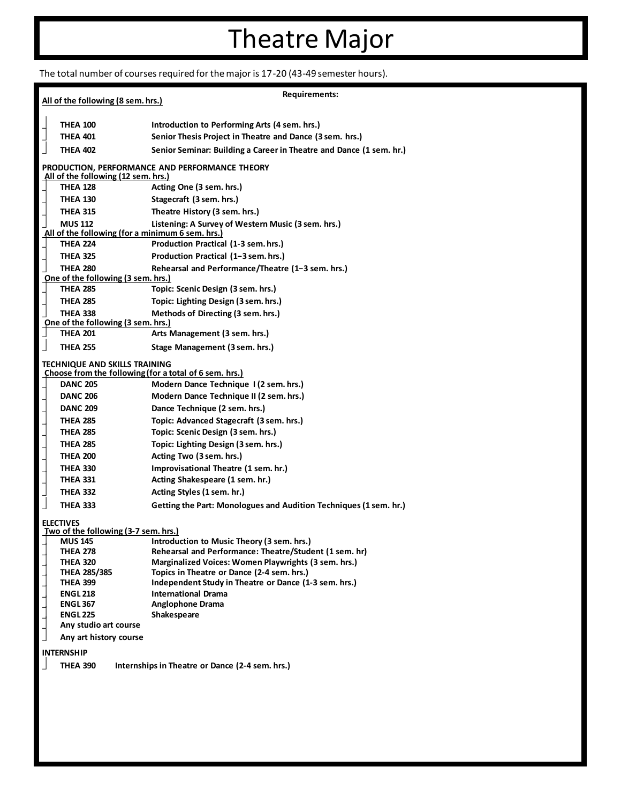## Theatre Major

The total number of courses required for the major is 17-20 (43-49 semester hours).

|                                                                                                | Requirements:                                                                       |
|------------------------------------------------------------------------------------------------|-------------------------------------------------------------------------------------|
| All of the following (8 sem. hrs.)                                                             |                                                                                     |
|                                                                                                |                                                                                     |
| <b>THEA 100</b>                                                                                | Introduction to Performing Arts (4 sem. hrs.)                                       |
| <b>THEA 401</b>                                                                                | Senior Thesis Project in Theatre and Dance (3 sem. hrs.)                            |
| <b>THEA 402</b>                                                                                | Senior Seminar: Building a Career in Theatre and Dance (1 sem. hr.)                 |
| PRODUCTION, PERFORMANCE AND PERFORMANCE THEORY<br>All of the following (12 sem. hrs.)          |                                                                                     |
| <b>THEA 128</b>                                                                                | Acting One (3 sem. hrs.)                                                            |
| <b>THEA 130</b>                                                                                | Stagecraft (3 sem. hrs.)                                                            |
| <b>THEA 315</b>                                                                                | Theatre History (3 sem. hrs.)                                                       |
| <b>MUS 112</b><br>All of the following (for a minimum 6 sem. hrs.)                             | Listening: A Survey of Western Music (3 sem. hrs.)                                  |
| <b>THEA 224</b>                                                                                | Production Practical (1-3 sem. hrs.)                                                |
| <b>THEA 325</b>                                                                                | Production Practical (1-3 sem. hrs.)                                                |
| <b>THEA 280</b>                                                                                | Rehearsal and Performance/Theatre (1-3 sem. hrs.)                                   |
| One of the following (3 sem. hrs.)                                                             |                                                                                     |
| <b>THEA 285</b>                                                                                | Topic: Scenic Design (3 sem. hrs.)                                                  |
| <b>THEA 285</b>                                                                                | Topic: Lighting Design (3 sem. hrs.)                                                |
| <b>THEA 338</b>                                                                                | Methods of Directing (3 sem. hrs.)                                                  |
| One of the following (3 sem. hrs.)                                                             |                                                                                     |
| $\overline{\phantom{a}}$<br><b>THEA 201</b>                                                    | Arts Management (3 sem. hrs.)                                                       |
| <b>THEA 255</b>                                                                                | Stage Management (3 sem. hrs.)                                                      |
| <b>TECHNIQUE AND SKILLS TRAINING</b><br>Choose from the following (for a total of 6 sem. hrs.) |                                                                                     |
| <b>DANC 205</b>                                                                                | Modern Dance Technique I (2 sem. hrs.)                                              |
| <b>DANC 206</b>                                                                                | Modern Dance Technique II (2 sem. hrs.)                                             |
| <b>DANC 209</b>                                                                                | Dance Technique (2 sem. hrs.)                                                       |
| <b>THEA 285</b>                                                                                | Topic: Advanced Stagecraft (3 sem. hrs.)                                            |
| <b>THEA 285</b>                                                                                | Topic: Scenic Design (3 sem. hrs.)                                                  |
| <b>THEA 285</b>                                                                                | Topic: Lighting Design (3 sem. hrs.)                                                |
| <b>THEA 200</b>                                                                                | Acting Two (3 sem. hrs.)                                                            |
| <b>THEA 330</b>                                                                                | Improvisational Theatre (1 sem. hr.)                                                |
| <b>THEA 331</b>                                                                                | Acting Shakespeare (1 sem. hr.)                                                     |
| <b>THEA 332</b>                                                                                | Acting Styles (1 sem. hr.)                                                          |
|                                                                                                | Getting the Part: Monologues and Audition Techniques (1 sem. hr.)                   |
| <b>THEA 333</b>                                                                                |                                                                                     |
| <b>ELECTIVES</b><br>Two of the following (3-7 sem. hrs.)                                       |                                                                                     |
| <b>MUS 145</b>                                                                                 | Introduction to Music Theory (3 sem. hrs.)                                          |
| <b>THEA 278</b>                                                                                | Rehearsal and Performance: Theatre/Student (1 sem. hr)                              |
| <b>THEA 320</b>                                                                                | Marginalized Voices: Women Playwrights (3 sem. hrs.)                                |
| THEA 285/385                                                                                   | Topics in Theatre or Dance (2-4 sem. hrs.)                                          |
| <b>THEA 399</b><br><b>ENGL 218</b>                                                             | Independent Study in Theatre or Dance (1-3 sem. hrs.)<br><b>International Drama</b> |
| <b>ENGL 367</b>                                                                                | <b>Anglophone Drama</b>                                                             |
| <b>ENGL 225</b>                                                                                | Shakespeare                                                                         |
| Any studio art course                                                                          |                                                                                     |
| Any art history course                                                                         |                                                                                     |
| <b>INTERNSHIP</b>                                                                              |                                                                                     |
| <b>THEA 390</b>                                                                                | Internships in Theatre or Dance (2-4 sem. hrs.)                                     |
|                                                                                                |                                                                                     |